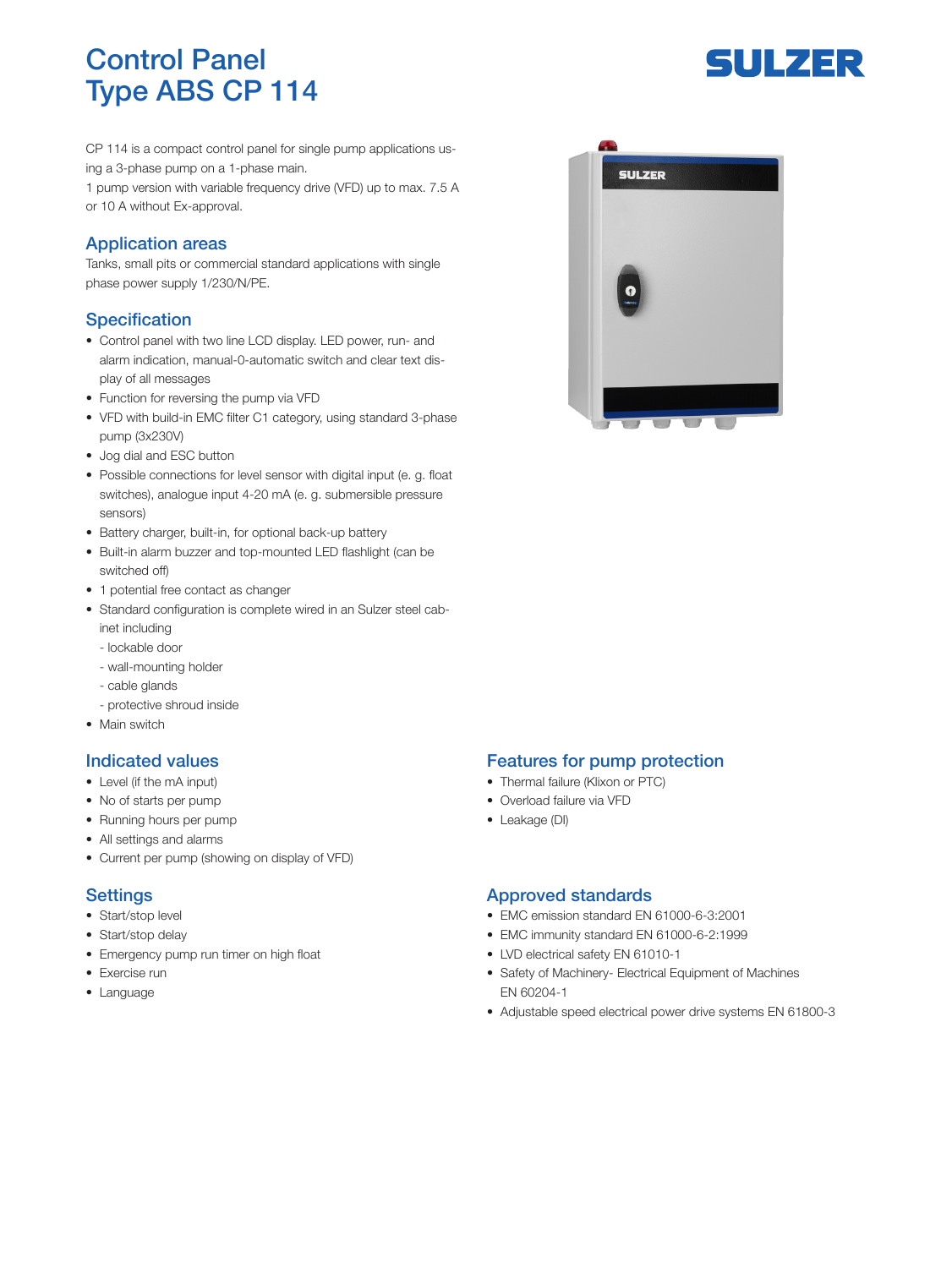# Control Panel Type ABS CP 114

CP 114 is a compact control panel for single pump applications using a 3-phase pump on a 1-phase main.

1 pump version with variable frequency drive (VFD) up to max. 7.5 A or 10 A without Ex-approval.

### Application areas

Tanks, small pits or commercial standard applications with single phase power supply 1/230/N/PE.

### **Specification**

- Control panel with two line LCD display. LED power, run- and alarm indication, manual-0-automatic switch and clear text display of all messages
- Function for reversing the pump via VFD
- VFD with build-in EMC filter C1 category, using standard 3-phase pump (3x230V)
- Jog dial and ESC button
- Possible connections for level sensor with digital input (e. g. float switches), analogue input 4-20 mA (e. g. submersible pressure sensors)
- Battery charger, built-in, for optional back-up battery
- Built-in alarm buzzer and top-mounted LED flashlight (can be switched off)
- 1 potential free contact as changer
- Standard configuration is complete wired in an Sulzer steel cabinet including
	- lockable door
	- wall-mounting holder
	- cable glands
	- protective shroud inside
- Main switch

### Indicated values

- Level (if the mA input)
- No of starts per pump
- Running hours per pump
- All settings and alarms
- Current per pump (showing on display of VFD)

### **Settings**

- Start/stop level
- Start/stop delay
- Emergency pump run timer on high float
- Exercise run
- Language

# **SULZER**

**CALL** 

### Features for pump protection

- Thermal failure (Klixon or PTC)
- Overload failure via VFD
- Leakage (DI)

### Approved standards

- EMC emission standard EN 61000-6-3:2001
- EMC immunity standard EN 61000-6-2:1999
- LVD electrical safety EN 61010-1
- Safety of Machinery- Electrical Equipment of Machines EN 60204-1
- Adjustable speed electrical power drive systems EN 61800-3